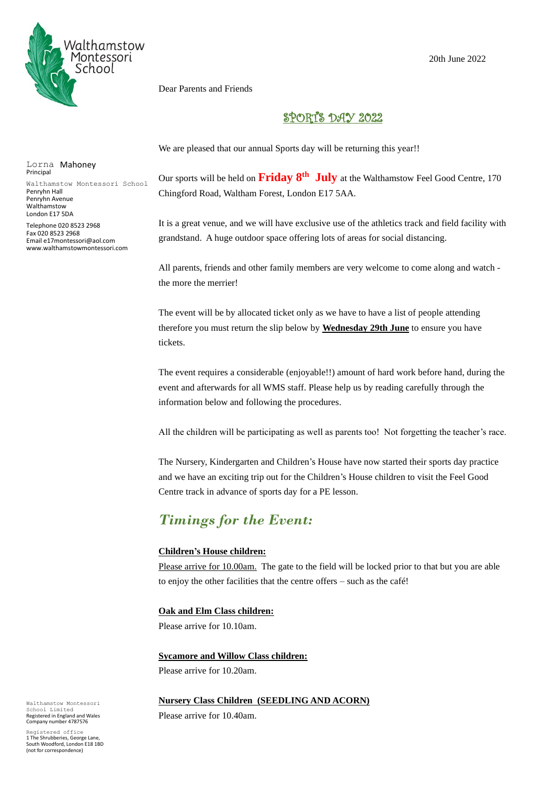

Walthamstow Montessori School

Lorna Mahoney

Email e17montessori@aol.com www.walthamstowmontessori.com

Principal

Penryhn Hall Penryhn Avenue Walthamstow London E17 5DA Telephone 020 8523 2968 Fax 020 8523 2968

Dear Parents and Friends

### SPORTS DAY 2022

We are pleased that our annual Sports day will be returning this year!!

Our sports will be held on **Friday 8 th July** at the Walthamstow Feel Good Centre, 170 Chingford Road, Waltham Forest, London E17 5AA.

It is a great venue, and we will have exclusive use of the athletics track and field facility with grandstand. A huge outdoor space offering lots of areas for social distancing.

All parents, friends and other family members are very welcome to come along and watch the more the merrier!

The event will be by allocated ticket only as we have to have a list of people attending therefore you must return the slip below by **Wednesday 29th June** to ensure you have tickets.

The event requires a considerable (enjoyable!!) amount of hard work before hand, during the event and afterwards for all WMS staff. Please help us by reading carefully through the information below and following the procedures.

All the children will be participating as well as parents too! Not forgetting the teacher's race.

The Nursery, Kindergarten and Children's House have now started their sports day practice and we have an exciting trip out for the Children's House children to visit the Feel Good Centre track in advance of sports day for a PE lesson.

# *Timings for the Event:*

### **Children's House children:**

Please arrive for 10.00am. The gate to the field will be locked prior to that but you are able to enjoy the other facilities that the centre offers – such as the café!

#### **Oak and Elm Class children:**

Please arrive for 10.10am.

#### **Sycamore and Willow Class children:**

Please arrive for 10.20am.

**Nursery Class Children (SEEDLING AND ACORN)** 

Please arrive for 10.40am.

Walthamstow Montessori School Limited Registered in England and Wales Company number 4787576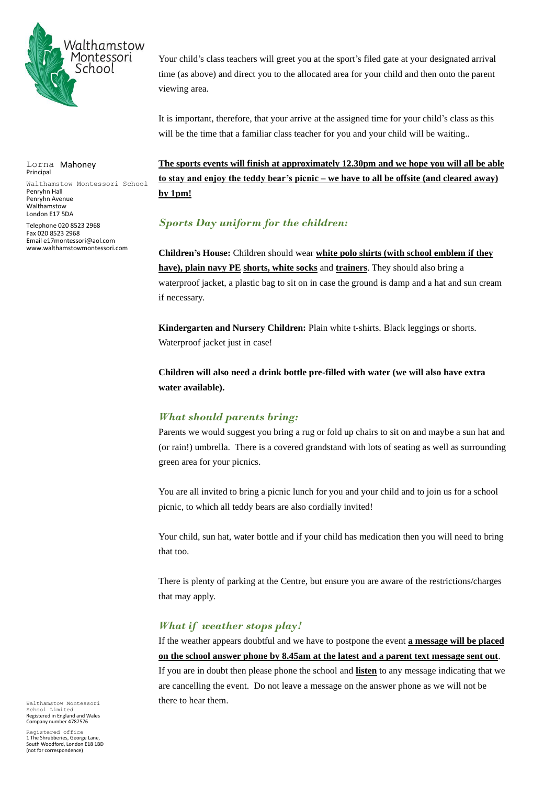

Your child's class teachers will greet you at the sport's filed gate at your designated arrival time (as above) and direct you to the allocated area for your child and then onto the parent viewing area.

It is important, therefore, that your arrive at the assigned time for your child's class as this will be the time that a familiar class teacher for you and your child will be waiting..

**The sports events will finish at approximately 12.30pm and we hope you will all be able to stay and enjoy the teddy bear's picnic – we have to all be offsite (and cleared away) by 1pm!**

### *Sports Day uniform for the children:*

**Children's House:** Children should wear **white polo shirts (with school emblem if they have), plain navy PE shorts, white socks** and **trainers**. They should also bring a waterproof jacket, a plastic bag to sit on in case the ground is damp and a hat and sun cream if necessary.

**Kindergarten and Nursery Children:** Plain white t-shirts. Black leggings or shorts. Waterproof jacket just in case!

**Children will also need a drink bottle pre-filled with water (we will also have extra water available).**

### *What should parents bring:*

Parents we would suggest you bring a rug or fold up chairs to sit on and maybe a sun hat and (or rain!) umbrella. There is a covered grandstand with lots of seating as well as surrounding green area for your picnics.

You are all invited to bring a picnic lunch for you and your child and to join us for a school picnic, to which all teddy bears are also cordially invited!

Your child, sun hat, water bottle and if your child has medication then you will need to bring that too.

There is plenty of parking at the Centre, but ensure you are aware of the restrictions/charges that may apply.

### *What if weather stops play!*

If the weather appears doubtful and we have to postpone the event **a message will be placed on the school answer phone by 8.45am at the latest and a parent text message sent out**. If you are in doubt then please phone the school and **listen** to any message indicating that we are cancelling the event. Do not leave a message on the answer phone as we will not be there to hear them.

Lorna Mahoney Principal Walthamstow Montessori School

Penryhn Hall Penryhn Avenue Walthamstow London E17 5DA

Telephone 020 8523 2968 Fax 020 8523 2968 Email e17montessori@aol.com www.walthamstowmontessori.com

Walthamstow Montessori School Limited Registered in England and Wales Company number 4787576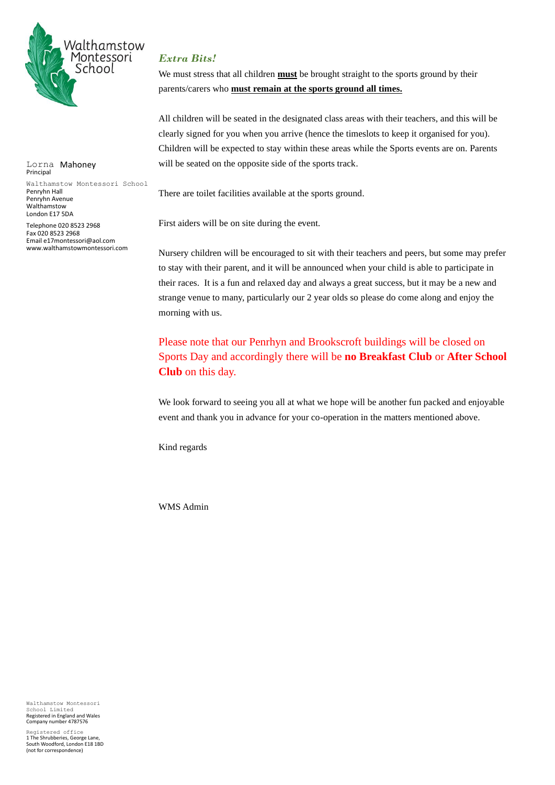

#### Lorna Mahoney Principal

Walthamstow Montessori School Penryhn Hall Penryhn Avenue Walthamstow London E17 5DA

Telephone 020 8523 2968 Fax 020 8523 2968 Email e17montessori@aol.com www.walthamstowmontessori.com

## *Extra Bits!*

We must stress that all children **must** be brought straight to the sports ground by their parents/carers who **must remain at the sports ground all times.**

All children will be seated in the designated class areas with their teachers, and this will be clearly signed for you when you arrive (hence the timeslots to keep it organised for you). Children will be expected to stay within these areas while the Sports events are on. Parents will be seated on the opposite side of the sports track.

There are toilet facilities available at the sports ground.

First aiders will be on site during the event.

Nursery children will be encouraged to sit with their teachers and peers, but some may prefer to stay with their parent, and it will be announced when your child is able to participate in their races. It is a fun and relaxed day and always a great success, but it may be a new and strange venue to many, particularly our 2 year olds so please do come along and enjoy the morning with us.

## Please note that our Penrhyn and Brookscroft buildings will be closed on Sports Day and accordingly there will be **no Breakfast Club** or **After School Club** on this day.

We look forward to seeing you all at what we hope will be another fun packed and enjoyable event and thank you in advance for your co-operation in the matters mentioned above.

Kind regards

WMS Admin

Walthamstow Montessori School Limited Registered in England and Wales Company number 4787576